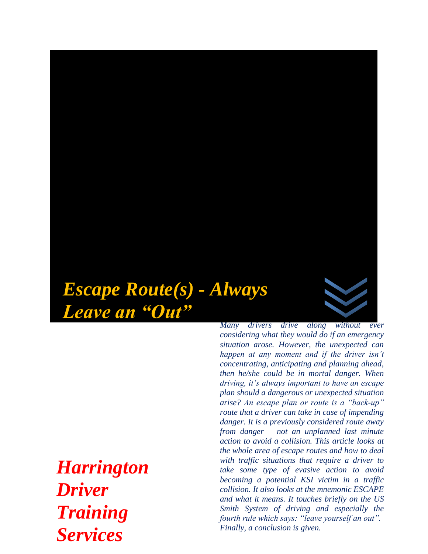

*Harrington Driver Training Services*

*Many drivers drive along without ever considering what they would do if an emergency situation arose. However, the unexpected can happen at any moment and if the driver isn't concentrating, anticipating and planning ahead, then he/she could be in mortal danger. When driving, it's always important to have an escape plan should a dangerous or unexpected situation arise? An escape plan or route is a "back-up" route that a driver can take in case of impending danger. It is a previously considered route away from danger – not an unplanned last minute action to avoid a collision. This article looks at the whole area of escape routes and how to deal with traffic situations that require a driver to take some type of evasive action to avoid becoming a potential KSI victim in a traffic collision. It also looks at the mnemonic ESCAPE and what it means. It touches briefly on the US Smith System of driving and especially the fourth rule which says: "leave yourself an out". Finally, a conclusion is given.*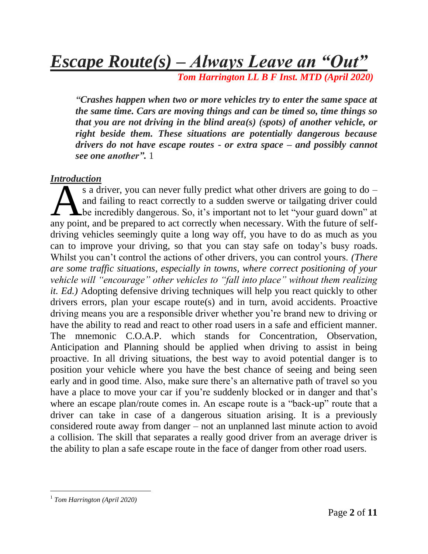*Escape Route(s) – Always Leave an "Out"*

 *Tom Harrington LL B F Inst. MTD (April 2020)*

*"Crashes happen when two or more vehicles try to enter the same space at the same time. Cars are moving things and can be timed so, time things so that you are not driving in the blind area(s) (spots) of another vehicle, or right beside them. These situations are potentially dangerous because drivers do not have escape routes - or extra space – and possibly cannot see one another".* 1

#### *Introduction*

s a driver, you can never fully predict what other drivers are going to do – and failing to react correctly to a sudden swerve or tailgating driver could be incredibly dangerous. So, it's important not to let "your guard down" at s a driver, you can never fully predict what other drivers are going to do –<br>and failing to react correctly to a sudden swerve or tailgating driver could<br>the incredibly dangerous. So, it's important not to let "your guard driving vehicles seemingly quite a long way off, you have to do as much as you can to improve your driving, so that you can stay safe on today's busy roads. Whilst you can't control the actions of other drivers, you can control yours. *(There are some traffic situations, especially in towns, where correct positioning of your vehicle will "encourage" other vehicles to "fall into place" without them realizing it. Ed.)* Adopting defensive driving techniques will help you react quickly to other drivers errors, plan your escape route(s) and in turn, avoid accidents. Proactive driving means you are a responsible driver whether you're brand new to driving or have the ability to read and react to other road users in a safe and efficient manner. The mnemonic C.O.A.P. which stands for Concentration, Observation, Anticipation and Planning should be applied when driving to assist in being proactive. In all driving situations, the best way to avoid potential danger is to position your vehicle where you have the best chance of seeing and being seen early and in good time. Also, make sure there's an alternative path of travel so you have a place to move your car if you're suddenly blocked or in danger and that's where an escape plan/route comes in. An escape route is a "back-up" route that a driver can take in case of a dangerous situation arising. It is a previously considered route away from danger – not an unplanned last minute action to avoid a collision. The skill that separates a really good driver from an average driver is the ability to plan a safe escape route in the face of danger from other road users.

 $\overline{a}$ 

<sup>1</sup> *Tom Harrington (April 2020)*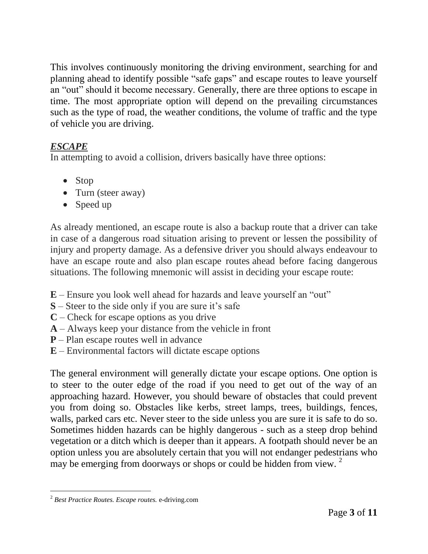This involves continuously monitoring the driving environment, searching for and planning ahead to identify possible "safe gaps" and escape routes to leave yourself an "out" should it become necessary. Generally, there are three options to escape in time. The most appropriate option will depend on the prevailing circumstances such as the type of road, the weather conditions, the volume of traffic and the type of vehicle you are driving.

# *ESCAPE*

In attempting to avoid a collision, drivers basically have three options:

- Stop
- Turn (steer away)
- Speed up

As already mentioned, an escape route is also a backup route that a driver can take in case of a dangerous road situation arising to prevent or lessen the possibility of injury and property damage. As a defensive driver you should always endeavour to have an escape route and also plan escape routes ahead before facing dangerous situations. The following mnemonic will assist in deciding your escape route:

- **E** Ensure you look well ahead for hazards and leave yourself an "out"
- **S** Steer to the side only if you are sure it's safe
- **C** Check for escape options as you drive
- **A** Always keep your distance from the vehicle in front
- **P** Plan escape routes well in advance
- **E** Environmental factors will dictate escape options

The general environment will generally dictate your escape options. One option is to steer to the outer edge of the road if you need to get out of the way of an approaching hazard. However, you should beware of obstacles that could prevent you from doing so. Obstacles like kerbs, street lamps, trees, buildings, fences, walls, parked cars etc. Never steer to the side unless you are sure it is safe to do so. Sometimes hidden hazards can be highly dangerous - such as a steep drop behind vegetation or a ditch which is deeper than it appears. A footpath should never be an option unless you are absolutely certain that you will not endanger pedestrians who may be emerging from doorways or shops or could be hidden from view.<sup>2</sup>

 $\overline{a}$ <sup>2</sup> *Best Practice Routes. Escape routes.* e-driving.com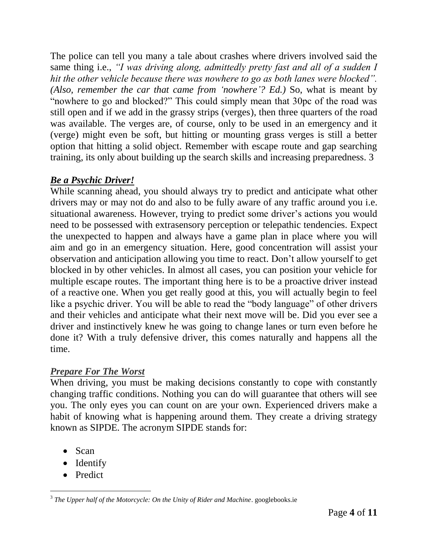The police can tell you many a tale about crashes where drivers involved said the same thing i.e., *"I was driving along, admittedly pretty fast and all of a sudden I hit the other vehicle because there was nowhere to go as both lanes were blocked". (Also, remember the car that came from 'nowhere'? Ed.)* So, what is meant by "nowhere to go and blocked?" This could simply mean that 30pc of the road was still open and if we add in the grassy strips (verges), then three quarters of the road was available. The verges are, of course, only to be used in an emergency and it (verge) might even be soft, but hitting or mounting grass verges is still a better option that hitting a solid object. Remember with escape route and gap searching training, its only about building up the search skills and increasing preparedness. 3

# *Be a Psychic Driver!*

While scanning ahead, you should always try to predict and anticipate what other drivers may or may not do and also to be fully aware of any traffic around you i.e. situational awareness. However, trying to predict some driver's actions you would need to be possessed with extrasensory perception or telepathic tendencies. Expect the unexpected to happen and always have a game plan in place where you will aim and go in an emergency situation. Here, good concentration will assist your observation and anticipation allowing you time to react. Don't allow yourself to get blocked in by other vehicles. In almost all cases, you can position your vehicle for multiple escape routes. The important thing here is to be a proactive driver instead of a reactive one. When you get really good at this, you will actually begin to feel like a psychic driver. You will be able to read the "body language" of other drivers and their vehicles and anticipate what their next move will be. Did you ever see a driver and instinctively knew he was going to change lanes or turn even before he done it? With a truly defensive driver, this comes naturally and happens all the time.

# *Prepare For The Worst*

When driving, you must be making decisions constantly to cope with constantly changing traffic conditions. Nothing you can do will guarantee that others will see you. The only eyes you can count on are your own. Experienced drivers make a habit of knowing what is happening around them. They create a driving strategy known as SIPDE. The acronym SIPDE stands for:

- Scan
- Identify
- Predict

 3 *The Upper half of the Motorcycle: On the Unity of Rider and Machine*. googlebooks.ie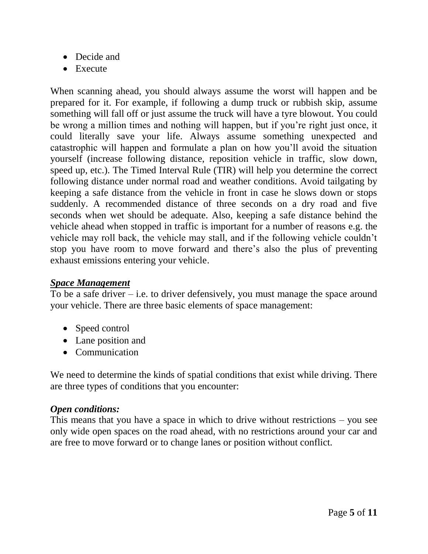- Decide and
- Execute

When scanning ahead, you should always assume the worst will happen and be prepared for it. For example, if following a dump truck or rubbish skip, assume something will fall off or just assume the truck will have a tyre blowout. You could be wrong a million times and nothing will happen, but if you're right just once, it could literally save your life. Always assume something unexpected and catastrophic will happen and formulate a plan on how you'll avoid the situation yourself (increase following distance, reposition vehicle in traffic, slow down, speed up, etc.). The Timed Interval Rule (TIR) will help you determine the correct following distance under normal road and weather conditions. Avoid tailgating by keeping a safe distance from the vehicle in front in case he slows down or stops suddenly. A recommended distance of three seconds on a dry road and five seconds when wet should be adequate. Also, keeping a safe distance behind the vehicle ahead when stopped in traffic is important for a number of reasons e.g. the vehicle may roll back, the vehicle may stall, and if the following vehicle couldn't stop you have room to move forward and there's also the plus of preventing exhaust emissions entering your vehicle.

#### *Space Management*

To be a safe driver  $-$  i.e. to driver defensively, you must manage the space around your vehicle. There are three basic elements of space management:

- Speed control
- Lane position and
- Communication

We need to determine the kinds of spatial conditions that exist while driving. There are three types of conditions that you encounter:

# *Open conditions:*

This means that you have a space in which to drive without restrictions – you see only wide open spaces on the road ahead, with no restrictions around your car and are free to move forward or to change lanes or position without conflict.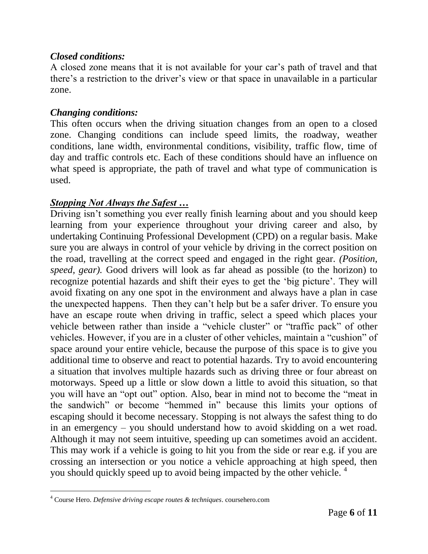## *Closed conditions:*

A closed zone means that it is not available for your car's path of travel and that there's a restriction to the driver's view or that space in unavailable in a particular zone.

## *Changing conditions:*

This often occurs when the driving situation changes from an open to a closed zone. Changing conditions can include speed limits, the roadway, weather conditions, lane width, environmental conditions, visibility, traffic flow, time of day and traffic controls etc. Each of these conditions should have an influence on what speed is appropriate, the path of travel and what type of communication is used.

## *Stopping Not Always the Safest …*

Driving isn't something you ever really finish learning about and you should keep learning from your experience throughout your driving career and also, by undertaking Continuing Professional Development (CPD) on a regular basis. Make sure you are always in control of your vehicle by driving in the correct position on the road, travelling at the correct speed and engaged in the right gear. *(Position, speed, gear).* Good drivers will look as far ahead as possible (to the horizon) to recognize potential hazards and shift their eyes to get the 'big picture'. They will avoid fixating on any one spot in the environment and always have a plan in case the unexpected happens. Then they can't help but be a safer driver. To ensure you have an escape route when driving in traffic, select a speed which places your vehicle between rather than inside a "vehicle cluster" or "traffic pack" of other vehicles. However, if you are in a cluster of other vehicles, maintain a "cushion" of space around your entire vehicle, because the purpose of this space is to give you additional time to observe and react to potential hazards. Try to avoid encountering a situation that involves multiple hazards such as driving three or four abreast on motorways. Speed up a little or slow down a little to avoid this situation, so that you will have an "opt out" option. Also, bear in mind not to become the "meat in the sandwich" or become "hemmed in" because this limits your options of escaping should it become necessary. Stopping is not always the safest thing to do in an emergency – you should understand how to avoid skidding on a wet road. Although it may not seem intuitive, speeding up can sometimes avoid an accident. This may work if a vehicle is going to hit you from the side or rear e.g. if you are crossing an intersection or you notice a vehicle approaching at high speed, then you should quickly speed up to avoid being impacted by the other vehicle. <sup>4</sup>

 $\overline{a}$ 

<sup>4</sup> Course Hero. *Defensive driving escape routes & techniques*. coursehero.com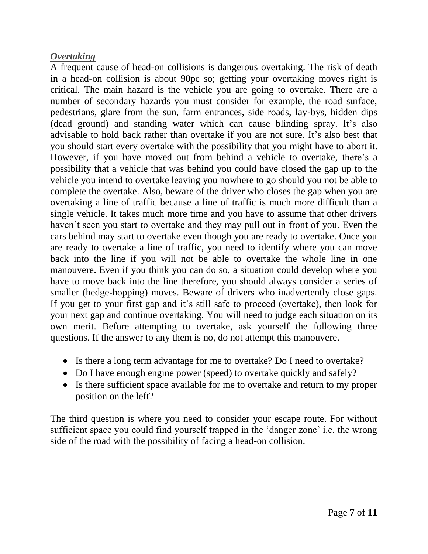### *Overtaking*

 $\overline{a}$ 

A frequent cause of head-on collisions is dangerous overtaking. The risk of death in a head-on collision is about 90pc so; getting your overtaking moves right is critical. The main hazard is the vehicle you are going to overtake. There are a number of secondary hazards you must consider for example, the road surface, pedestrians, glare from the sun, farm entrances, side roads, lay-bys, hidden dips (dead ground) and standing water which can cause blinding spray. It's also advisable to hold back rather than overtake if you are not sure. It's also best that you should start every overtake with the possibility that you might have to abort it. However, if you have moved out from behind a vehicle to overtake, there's a possibility that a vehicle that was behind you could have closed the gap up to the vehicle you intend to overtake leaving you nowhere to go should you not be able to complete the overtake. Also, beware of the driver who closes the gap when you are overtaking a line of traffic because a line of traffic is much more difficult than a single vehicle. It takes much more time and you have to assume that other drivers haven't seen you start to overtake and they may pull out in front of you. Even the cars behind may start to overtake even though you are ready to overtake. Once you are ready to overtake a line of traffic, you need to identify where you can move back into the line if you will not be able to overtake the whole line in one manouvere. Even if you think you can do so, a situation could develop where you have to move back into the line therefore, you should always consider a series of smaller (hedge-hopping) moves. Beware of drivers who inadvertently close gaps. If you get to your first gap and it's still safe to proceed (overtake), then look for your next gap and continue overtaking. You will need to judge each situation on its own merit. Before attempting to overtake, ask yourself the following three questions. If the answer to any them is no, do not attempt this manouvere.

- Is there a long term advantage for me to overtake? Do I need to overtake?
- Do I have enough engine power (speed) to overtake quickly and safely?
- Is there sufficient space available for me to overtake and return to my proper position on the left?

The third question is where you need to consider your escape route. For without sufficient space you could find yourself trapped in the 'danger zone' i.e. the wrong side of the road with the possibility of facing a head-on collision.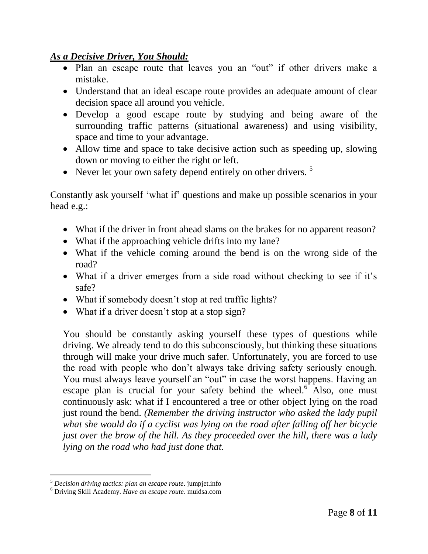#### *As a Decisive Driver, You Should:*

- Plan an escape route that leaves you an "out" if other drivers make a mistake.
- Understand that an ideal escape route provides an adequate amount of clear decision space all around you vehicle.
- Develop a good escape route by studying and being aware of the surrounding traffic patterns (situational awareness) and using visibility, space and time to your advantage.
- Allow time and space to take decisive action such as speeding up, slowing down or moving to either the right or left.
- Never let your own safety depend entirely on other drivers.  $5$

Constantly ask yourself 'what if' questions and make up possible scenarios in your head e.g.:

- What if the driver in front ahead slams on the brakes for no apparent reason?
- What if the approaching vehicle drifts into my lane?
- What if the vehicle coming around the bend is on the wrong side of the road?
- What if a driver emerges from a side road without checking to see if it's safe?
- What if somebody doesn't stop at red traffic lights?
- What if a driver doesn't stop at a stop sign?

You should be constantly asking yourself these types of questions while driving. We already tend to do this subconsciously, but thinking these situations through will make your drive much safer. Unfortunately, you are forced to use the road with people who don't always take driving safety seriously enough. You must always leave yourself an "out" in case the worst happens. Having an escape plan is crucial for your safety behind the wheel. $6$  Also, one must continuously ask: what if I encountered a tree or other object lying on the road just round the bend*. (Remember the driving instructor who asked the lady pupil what she would do if a cyclist was lying on the road after falling off her bicycle just over the brow of the hill. As they proceeded over the hill, there was a lady lying on the road who had just done that.* 

 $\overline{a}$ <sup>5</sup> *Decision driving tactics: plan an escape route*. jumpjet.info

<sup>6</sup> Driving Skill Academy. *Have an escape route*. muidsa.com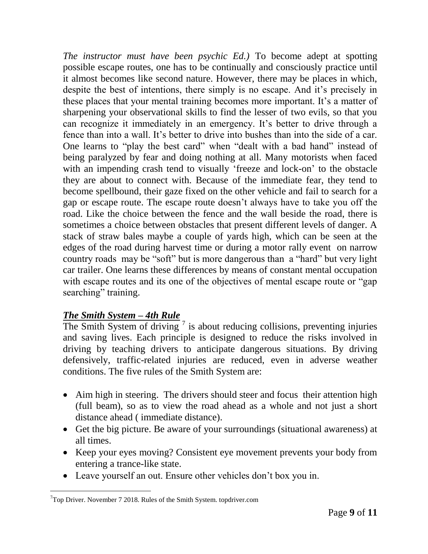*The instructor must have been psychic Ed.)* To become adept at spotting possible escape routes, one has to be continually and consciously practice until it almost becomes like second nature. However, there may be places in which, despite the best of intentions, there simply is no escape. And it's precisely in these places that your mental training becomes more important. It's a matter of sharpening your observational skills to find the lesser of two evils, so that you can recognize it immediately in an emergency. It's better to drive through a fence than into a wall. It's better to drive into bushes than into the side of a car. One learns to "play the best card" when "dealt with a bad hand" instead of being paralyzed by fear and doing nothing at all. Many motorists when faced with an impending crash tend to visually 'freeze and lock-on' to the obstacle they are about to connect with. Because of the immediate fear, they tend to become spellbound, their gaze fixed on the other vehicle and fail to search for a gap or escape route. The escape route doesn't always have to take you off the road. Like the choice between the fence and the wall beside the road, there is sometimes a choice between obstacles that present different levels of danger. A stack of straw bales maybe a couple of yards high, which can be seen at the edges of the road during harvest time or during a motor rally event on narrow country roads may be "soft" but is more dangerous than a "hard" but very light car trailer. One learns these differences by means of constant mental occupation with escape routes and its one of the objectives of mental escape route or "gap" searching" training.

# *The Smith System – 4th Rule*

The Smith System of driving  $\frac{7}{1}$  is about reducing collisions, preventing injuries and saving lives. Each principle is designed to reduce the risks involved in driving by teaching drivers to anticipate dangerous situations. By driving defensively, traffic-related injuries are reduced, even in adverse weather conditions. The five rules of the Smith System are:

- Aim high in steering. The drivers should steer and focus their attention high (full beam), so as to view the road ahead as a whole and not just a short distance ahead ( immediate distance).
- Get the big picture. Be aware of your surroundings (situational awareness) at all times.
- Keep your eyes moving? Consistent eye movement prevents your body from entering a trance-like state.
- Leave yourself an out. Ensure other vehicles don't box you in.

 $\overline{a}$  $7$ Top Driver. November 7 2018. Rules of the Smith System. topdriver.com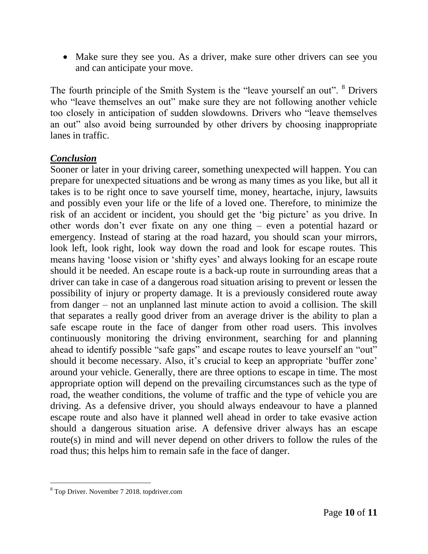• Make sure they see you. As a driver, make sure other drivers can see you and can anticipate your move.

The fourth principle of the Smith System is the "leave yourself an out". <sup>8</sup> Drivers who "leave themselves an out" make sure they are not following another vehicle too closely in anticipation of sudden slowdowns. Drivers who "leave themselves an out" also avoid being surrounded by other drivers by choosing inappropriate lanes in traffic.

## *Conclusion*

Sooner or later in your driving career, something unexpected will happen. You can prepare for unexpected situations and be wrong as many times as you like, but all it takes is to be right once to save yourself time, money, heartache, injury, lawsuits and possibly even your life or the life of a loved one. Therefore, to minimize the risk of an accident or incident, you should get the 'big picture' as you drive. In other words don't ever fixate on any one thing – even a potential hazard or emergency. Instead of staring at the road hazard, you should scan your mirrors, look left, look right, look way down the road and look for escape routes. This means having 'loose vision or 'shifty eyes' and always looking for an escape route should it be needed. An escape route is a back-up route in surrounding areas that a driver can take in case of a dangerous road situation arising to prevent or lessen the possibility of injury or property damage. It is a previously considered route away from danger – not an unplanned last minute action to avoid a collision. The skill that separates a really good driver from an average driver is the ability to plan a safe escape route in the face of danger from other road users. This involves continuously monitoring the driving environment, searching for and planning ahead to identify possible "safe gaps" and escape routes to leave yourself an "out" should it become necessary. Also, it's crucial to keep an appropriate 'buffer zone' around your vehicle. Generally, there are three options to escape in time. The most appropriate option will depend on the prevailing circumstances such as the type of road, the weather conditions, the volume of traffic and the type of vehicle you are driving. As a defensive driver, you should always endeavour to have a planned escape route and also have it planned well ahead in order to take evasive action should a dangerous situation arise. A defensive driver always has an escape route(s) in mind and will never depend on other drivers to follow the rules of the road thus; this helps him to remain safe in the face of danger.

l

 $8$  Top Driver. November 7 2018. topdriver.com